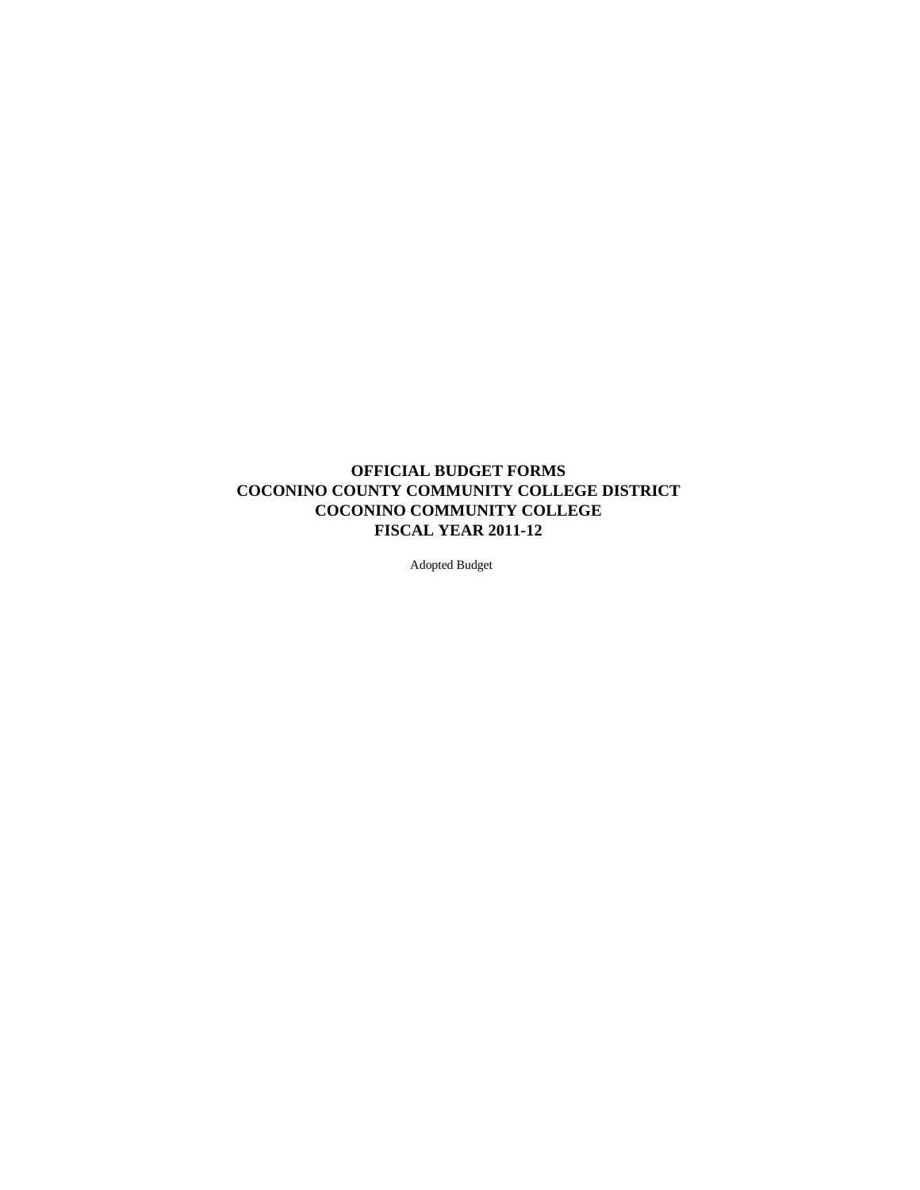## **OFFICIAL BUDGET FORMS COCONINO COUNTY COMMUNITY COLLEGE DISTRICT COCONINO COMMUNITY COLLEGE FISCAL YEAR 2011-12**

Adopted Budget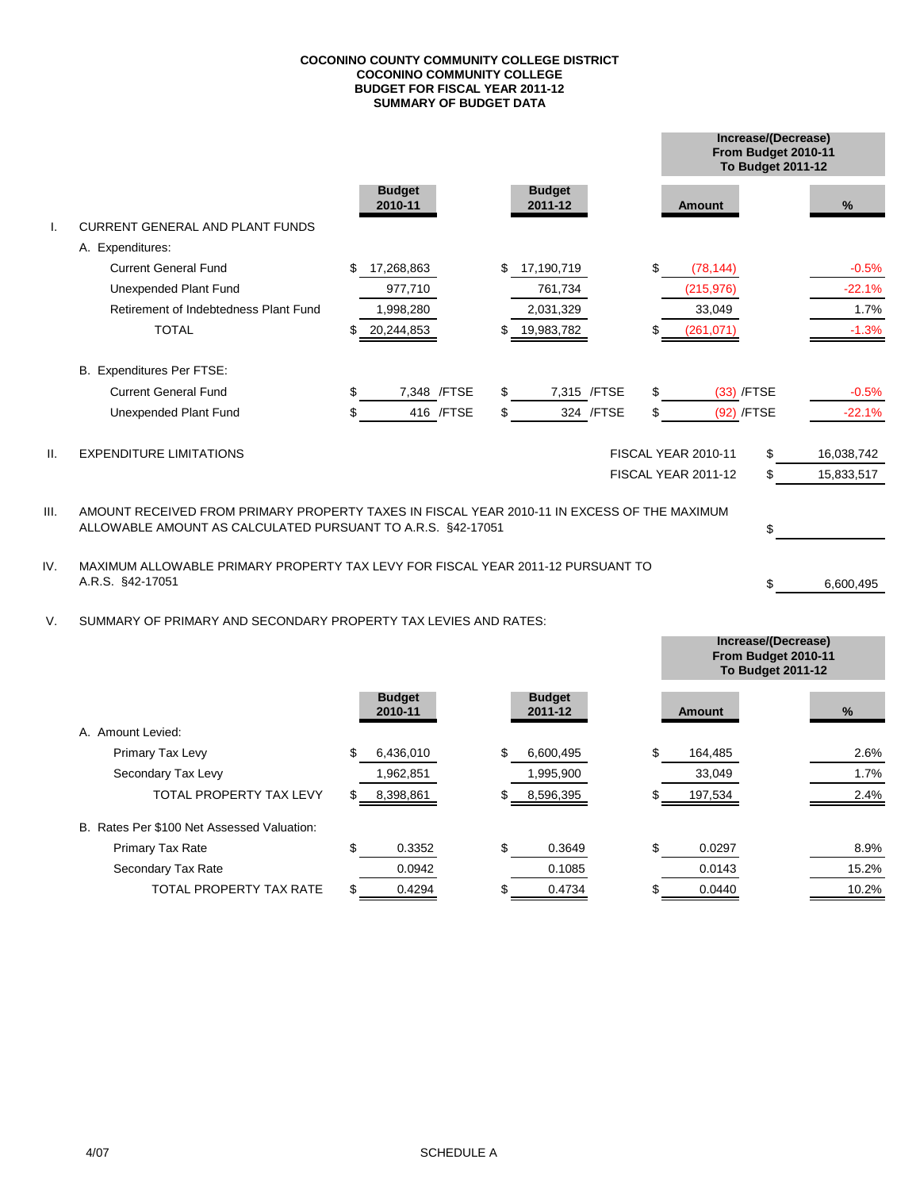#### **SUMMARY OF BUDGET DATA COCONINO COUNTY COMMUNITY COLLEGE DISTRICT COCONINO COMMUNITY COLLEGE BUDGET FOR FISCAL YEAR 2011-12**

|      |                                                                                             |                          |              |                          |              |                            | Increase/(Decrease)<br>From Budget 2010-11<br><b>To Budget 2011-12</b> |    |            |
|------|---------------------------------------------------------------------------------------------|--------------------------|--------------|--------------------------|--------------|----------------------------|------------------------------------------------------------------------|----|------------|
|      |                                                                                             | <b>Budget</b><br>2010-11 |              | <b>Budget</b><br>2011-12 |              | <b>Amount</b>              |                                                                        |    | %          |
|      | <b>CURRENT GENERAL AND PLANT FUNDS</b>                                                      |                          |              |                          |              |                            |                                                                        |    |            |
|      | A. Expenditures:                                                                            |                          |              |                          |              |                            |                                                                        |    |            |
|      | <b>Current General Fund</b>                                                                 | \$<br>17,268,863         |              | \$<br>17,190,719         |              | \$<br>(78, 144)            |                                                                        |    | $-0.5%$    |
|      | Unexpended Plant Fund                                                                       | 977,710                  |              | 761,734                  |              | (215, 976)                 |                                                                        |    | $-22.1%$   |
|      | Retirement of Indebtedness Plant Fund                                                       | 1,998,280                |              | 2,031,329                |              | 33,049                     |                                                                        |    | 1.7%       |
|      | <b>TOTAL</b>                                                                                | 20,244,853               |              | 19,983,782               |              | (261, 071)                 |                                                                        |    | $-1.3%$    |
|      | B. Expenditures Per FTSE:                                                                   |                          |              |                          |              |                            |                                                                        |    |            |
|      | <b>Current General Fund</b>                                                                 | \$                       | 7,348 / FTSE | \$                       | 7,315 / FTSE | \$<br>$(33)$ /FTSE         |                                                                        |    | $-0.5%$    |
|      | Unexpended Plant Fund                                                                       | \$                       | 416 / FTSE   | \$                       | 324 / FTSE   | \$<br>(92) /FTSE           |                                                                        |    | $-22.1%$   |
| Ш.   | <b>EXPENDITURE LIMITATIONS</b>                                                              |                          |              |                          |              | <b>FISCAL YEAR 2010-11</b> |                                                                        | \$ | 16,038,742 |
|      |                                                                                             |                          |              |                          |              | FISCAL YEAR 2011-12        |                                                                        | \$ | 15,833,517 |
| III. | AMOUNT RECEIVED FROM PRIMARY PROPERTY TAXES IN FISCAL YEAR 2010-11 IN EXCESS OF THE MAXIMUM |                          |              |                          |              |                            |                                                                        |    |            |
|      | ALLOWABLE AMOUNT AS CALCULATED PURSUANT TO A.R.S. §42-17051                                 |                          |              |                          |              |                            |                                                                        |    |            |

IV. MAXIMUM ALLOWABLE PRIMARY PROPERTY TAX LEVY FOR FISCAL YEAR 2011-12 PURSUANT TO A.R.S. §42-17051 6,600,495

V. SUMMARY OF PRIMARY AND SECONDARY PROPERTY TAX LEVIES AND RATES:

|                                            |                          |                          | From Budget 2010-11<br><b>To Budget 2011-12</b> |       |
|--------------------------------------------|--------------------------|--------------------------|-------------------------------------------------|-------|
|                                            | <b>Budget</b><br>2010-11 | <b>Budget</b><br>2011-12 | <b>Amount</b>                                   | %     |
| A. Amount Levied:                          |                          |                          |                                                 |       |
| Primary Tax Levy                           | 6,436,010                | 6,600,495                | \$<br>164,485                                   | 2.6%  |
| Secondary Tax Levy                         | 1,962,851                | 1,995,900                | 33,049                                          | 1.7%  |
| <b>TOTAL PROPERTY TAX LEVY</b>             | 8,398,861                | 8,596,395                | 197,534                                         | 2.4%  |
| B. Rates Per \$100 Net Assessed Valuation: |                          |                          |                                                 |       |
| Primary Tax Rate                           | 0.3352                   | 0.3649                   | \$<br>0.0297                                    | 8.9%  |
| Secondary Tax Rate                         | 0.0942                   | 0.1085                   | 0.0143                                          | 15.2% |
| <b>TOTAL PROPERTY TAX RATE</b>             | 0.4294                   | 0.4734                   | 0.0440                                          | 10.2% |

\$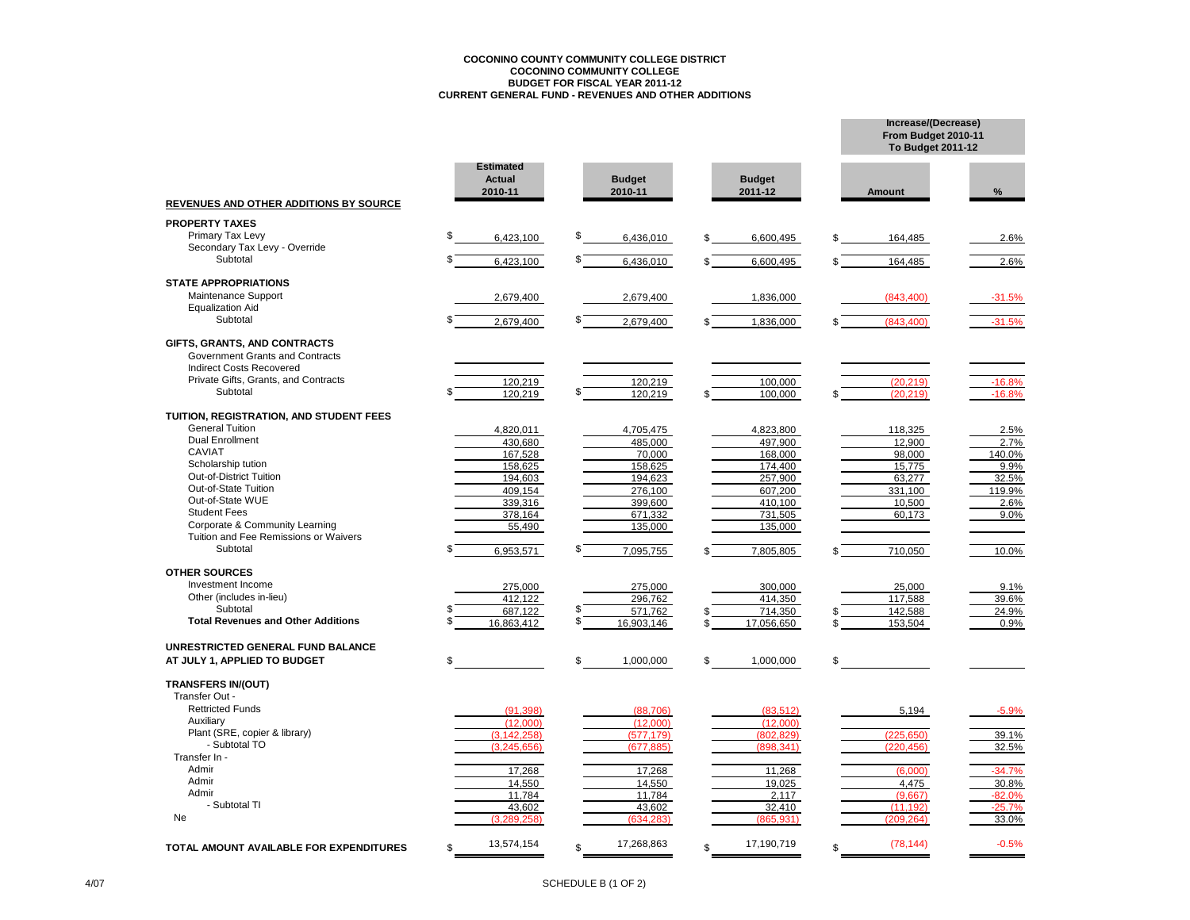# **COCONINO COUNTY COMMUNITY COLLEGE DISTRICT COCONINO COMMUNITY COLLEGE BUDGET FOR FISCAL YEAR 2011-12 CURRENT GENERAL FUND - REVENUES AND OTHER ADDITIONS**

|                                                       |                                              |     |                          |    |                          | From Budget 2010-11<br><b>To Budget 2011-12</b> |               |
|-------------------------------------------------------|----------------------------------------------|-----|--------------------------|----|--------------------------|-------------------------------------------------|---------------|
| REVENUES AND OTHER ADDITIONS BY SOURCE                | <b>Estimated</b><br><b>Actual</b><br>2010-11 |     | <b>Budget</b><br>2010-11 |    | <b>Budget</b><br>2011-12 | Amount                                          | $\%$          |
| <b>PROPERTY TAXES</b>                                 |                                              |     |                          |    |                          |                                                 |               |
| Primary Tax Levy                                      | \$<br>6,423,100                              | \$  | 6,436,010                | \$ | 6,600,495                | 164,485                                         | 2.6%          |
| Secondary Tax Levy - Override                         |                                              |     |                          |    |                          |                                                 |               |
| Subtotal                                              | 6,423,100                                    | \$  | 6,436,010                |    | 6,600,495                | 164,485                                         | 2.6%          |
| <b>STATE APPROPRIATIONS</b>                           |                                              |     |                          |    |                          |                                                 |               |
| Maintenance Support                                   | 2,679,400                                    |     | 2,679,400                |    | 1,836,000                | (843.400)                                       | $-31.5%$      |
| <b>Equalization Aid</b>                               |                                              |     |                          |    |                          |                                                 |               |
| Subtotal                                              | 2,679,400                                    | \$  | 2,679,400                |    | 1,836,000                | (843, 400)                                      | $-31.5%$      |
| GIFTS, GRANTS, AND CONTRACTS                          |                                              |     |                          |    |                          |                                                 |               |
| Government Grants and Contracts                       |                                              |     |                          |    |                          |                                                 |               |
| <b>Indirect Costs Recovered</b>                       |                                              |     |                          |    |                          |                                                 |               |
| Private Gifts, Grants, and Contracts                  | 120.219                                      |     | 120.219                  |    | 100.000                  | (20.219)                                        | $-16.8%$      |
| Subtotal                                              | 120.219                                      |     | 120.219                  |    | 100.000                  | (20.219)                                        | $-16.8%$      |
| TUITION, REGISTRATION, AND STUDENT FEES               |                                              |     |                          |    |                          |                                                 |               |
| <b>General Tuition</b>                                | 4,820,011                                    |     | 4,705,475                |    | 4,823,800                | 118,325                                         | 2.5%          |
| <b>Dual Enrollment</b>                                | 430.680                                      |     | 485.000                  |    | 497.900                  | 12,900                                          | 2.7%          |
| <b>CAVIAT</b><br>Scholarship tution                   | 167,528                                      |     | 70,000                   |    | 168,000                  | 98,000                                          | 140.0%        |
| <b>Out-of-District Tuition</b>                        | 158,625<br>194,603                           |     | 158,625<br>194,623       |    | 174,400<br>257,900       | 15,775<br>63.277                                | 9.9%<br>32.5% |
| Out-of-State Tuition                                  | 409,154                                      |     | 276,100                  |    | 607,200                  | 331,100                                         | 119.9%        |
| Out-of-State WUE                                      | 339,316                                      |     | 399,600                  |    | 410.100                  | 10,500                                          | 2.6%          |
| <b>Student Fees</b>                                   | 378,164                                      |     | 671,332                  |    | 731,505                  | 60.173                                          | 9.0%          |
| Corporate & Community Learning                        | 55,490                                       |     | 135,000                  |    | 135,000                  |                                                 |               |
| Tuition and Fee Remissions or Waivers                 |                                              |     |                          |    |                          |                                                 |               |
| Subtotal                                              | 6,953,571                                    |     | 7,095,755                |    | 7,805,805                | 710,050                                         | 10.0%         |
| <b>OTHER SOURCES</b>                                  |                                              |     |                          |    |                          |                                                 |               |
| Investment Income                                     | 275,000                                      |     | 275,000                  |    | 300,000                  | 25,000                                          | 9.1%          |
| Other (includes in-lieu)                              | 412.122                                      | \$  | 296.762                  |    | 414,350                  | 117,588                                         | 39.6%         |
| Subtotal<br><b>Total Revenues and Other Additions</b> | 687.122                                      | \$. | 571.762                  |    | 714.350                  | 142.588                                         | 24.9%         |
|                                                       | 16,863,412                                   |     | 16,903,146               |    | 17,056,650               | 153,504                                         | 0.9%          |
| UNRESTRICTED GENERAL FUND BALANCE                     |                                              |     |                          |    |                          |                                                 |               |
| AT JULY 1, APPLIED TO BUDGET                          | \$                                           | \$  | 1,000,000                | \$ | 1,000,000                | \$                                              |               |
| <b>TRANSFERS IN/(OUT)</b>                             |                                              |     |                          |    |                          |                                                 |               |
| Transfer Out -                                        |                                              |     |                          |    |                          |                                                 |               |
| <b>Rettricted Funds</b>                               | (91.398)                                     |     | (88,706)                 |    | (83, 512)                | 5,194                                           | $-5.9%$       |
| Auxiliary                                             | (12.000)                                     |     | (12.000)                 |    | (12.000)                 |                                                 |               |
| Plant (SRE, copier & library)<br>- Subtotal TO        | (3.142.258)                                  |     | (577.179)                |    | (802.829)                | (225.650)                                       | 39.1%         |
| Transfer In -                                         | (3.245.656)                                  |     | (677, 885)               |    | (898, 341)               | (220, 456)                                      | 32.5%         |
| Admir                                                 | 17,268                                       |     | 17,268                   |    | 11,268                   | (6.000)                                         | $-34.7%$      |
| Admir                                                 | 14,550                                       |     | 14,550                   |    | 19,025                   | 4,475                                           | 30.8%         |
| Admir                                                 | 11,784                                       |     | 11,784                   |    | 2,117                    | (9.667)                                         | $-82.0%$      |
| - Subtotal TI                                         | 43,602                                       |     | 43,602                   |    | 32,410                   | (11, 192)                                       | $-25.7%$      |
| Ne                                                    | (3.289.258)                                  |     | (634, 283)               |    | (865, 931)               | (209.264)                                       | 33.0%         |
| TOTAL AMOUNT AVAILABLE FOR EXPENDITURES               | 13,574,154<br>\$.                            | ፍ   | 17,268,863               | ፍ  | 17,190,719               | \$<br>(78, 144)                                 | $-0.5%$       |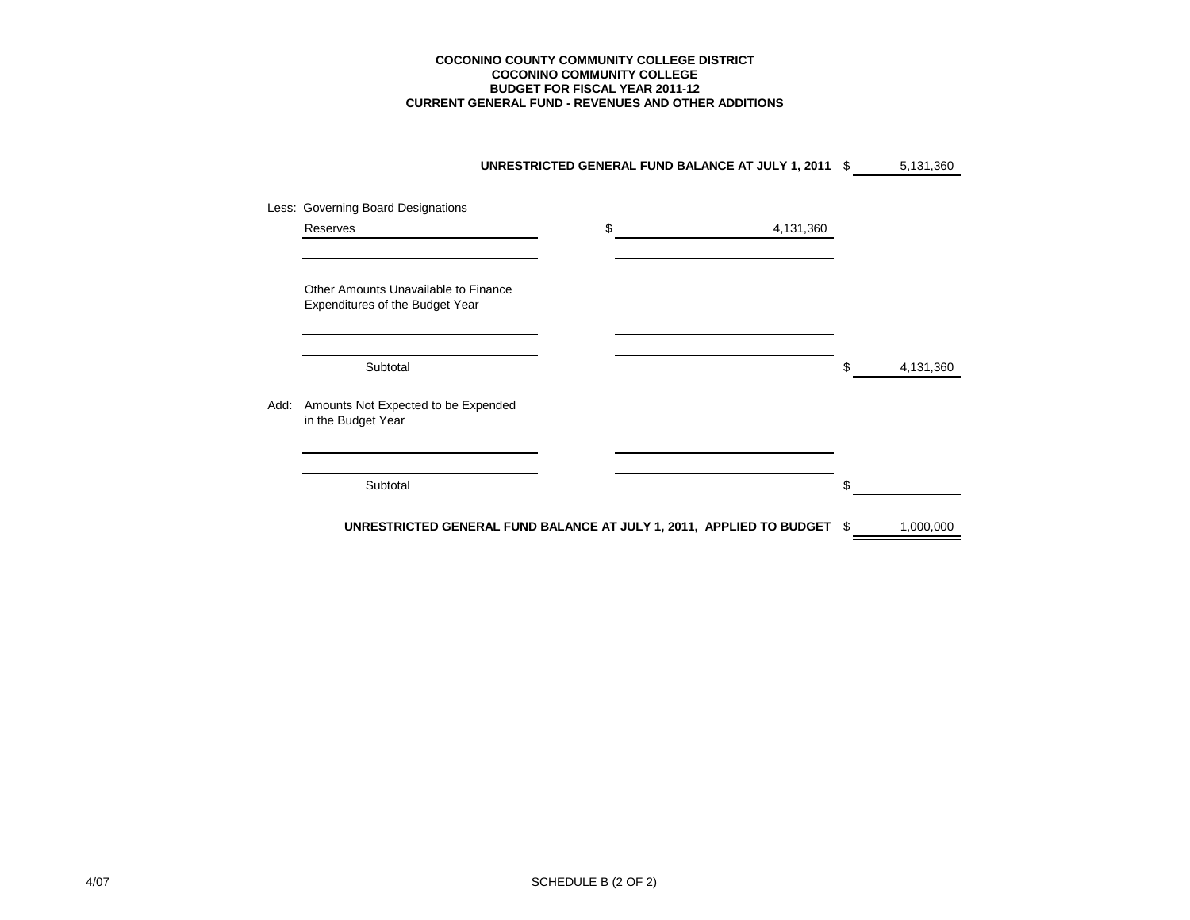#### **CURRENT GENERAL FUND - REVENUES AND OTHER ADDITIONS COCONINO COUNTY COMMUNITY COLLEGE DISTRICT COCONINO COMMUNITY COLLEGE BUDGET FOR FISCAL YEAR 2011-12**

|      |                                                                         | UNRESTRICTED GENERAL FUND BALANCE AT JULY 1, 2011 \$                 |    | 5,131,360 |
|------|-------------------------------------------------------------------------|----------------------------------------------------------------------|----|-----------|
|      | Less: Governing Board Designations                                      |                                                                      |    |           |
|      | Reserves                                                                | \$<br>4,131,360                                                      |    |           |
|      |                                                                         |                                                                      |    |           |
|      | Other Amounts Unavailable to Finance<br>Expenditures of the Budget Year |                                                                      |    |           |
|      | Subtotal                                                                |                                                                      | \$ | 4,131,360 |
| Add: | Amounts Not Expected to be Expended<br>in the Budget Year               |                                                                      |    |           |
|      | Subtotal                                                                |                                                                      | \$ |           |
|      |                                                                         | UNRESTRICTED GENERAL FUND BALANCE AT JULY 1, 2011, APPLIED TO BUDGET | S  | 1,000,000 |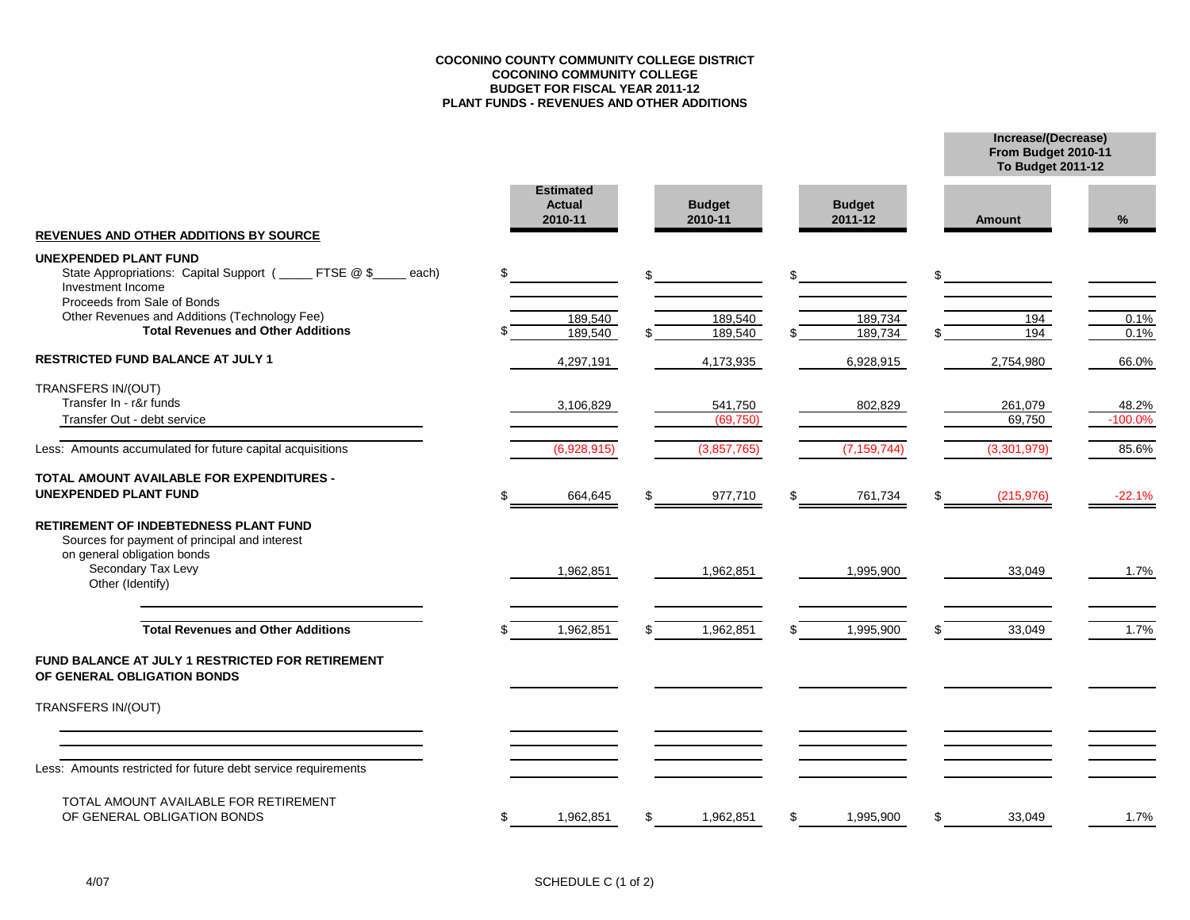#### **COCONINO COUNTY COMMUNITY COLLEGE DISTRICT COCONINO COMMUNITY COLLEGE BUDGET FOR FISCAL YEAR 2011-12 PLANT FUNDS - REVENUES AND OTHER ADDITIONS**

**From Budget 2010-11 Increase/(Decrease)**

**To Budget 2011-12**

| <b>REVENUES AND OTHER ADDITIONS BY SOURCE</b>                                                                                                                          | <b>Estimated</b><br><b>Actual</b><br>2010-11 | <b>Budget</b><br>2010-11 | <b>Budget</b><br>2011-12 | Amount           | %            |
|------------------------------------------------------------------------------------------------------------------------------------------------------------------------|----------------------------------------------|--------------------------|--------------------------|------------------|--------------|
| <b>UNEXPENDED PLANT FUND</b>                                                                                                                                           |                                              |                          |                          |                  |              |
| State Appropriations: Capital Support (_____ FTSE @ \$_<br>each)<br>Investment Income                                                                                  | \$                                           | \$                       | \$                       | \$               |              |
| Proceeds from Sale of Bonds<br>Other Revenues and Additions (Technology Fee)                                                                                           |                                              |                          |                          |                  |              |
| <b>Total Revenues and Other Additions</b>                                                                                                                              | 189,540<br>189,540                           | 189,540<br>189,540       | 189,734<br>189,734       | 194<br>194       | 0.1%<br>0.1% |
| <b>RESTRICTED FUND BALANCE AT JULY 1</b>                                                                                                                               | 4,297,191                                    | 4,173,935                | 6,928,915                | 2,754,980        | 66.0%        |
| TRANSFERS IN/(OUT)                                                                                                                                                     |                                              |                          |                          |                  |              |
| Transfer In - r&r funds                                                                                                                                                | 3,106,829                                    | 541,750                  | 802,829                  | 261,079          | 48.2%        |
| Transfer Out - debt service                                                                                                                                            |                                              | (69.750)                 |                          | 69,750           | $-100.0%$    |
| Less: Amounts accumulated for future capital acquisitions                                                                                                              | (6,928,915)                                  | (3,857,765)              | (7, 159, 744)            | (3,301,979)      | 85.6%        |
| TOTAL AMOUNT AVAILABLE FOR EXPENDITURES -<br><b>UNEXPENDED PLANT FUND</b>                                                                                              | 664,645                                      | 977,710                  | \$<br>761,734            | \$<br>(215, 976) | -22.1%       |
| <b>RETIREMENT OF INDEBTEDNESS PLANT FUND</b><br>Sources for payment of principal and interest<br>on general obligation bonds<br>Secondary Tax Levy<br>Other (Identify) | 1,962,851                                    | 1,962,851                | 1,995,900                | 33,049           | 1.7%         |
| <b>Total Revenues and Other Additions</b>                                                                                                                              | 1,962,851                                    | 1,962,851                | \$<br>1,995,900          | 33,049           | 1.7%         |
| FUND BALANCE AT JULY 1 RESTRICTED FOR RETIREMENT<br>OF GENERAL OBLIGATION BONDS                                                                                        |                                              |                          |                          |                  |              |
| TRANSFERS IN/(OUT)                                                                                                                                                     |                                              |                          |                          |                  |              |
| Less: Amounts restricted for future debt service requirements                                                                                                          |                                              |                          |                          |                  |              |
| TOTAL AMOUNT AVAILABLE FOR RETIREMENT<br>OF GENERAL OBLIGATION BONDS                                                                                                   | \$<br>1,962,851                              | \$<br>1,962,851          | \$<br>1,995,900          | \$<br>33,049     | 1.7%         |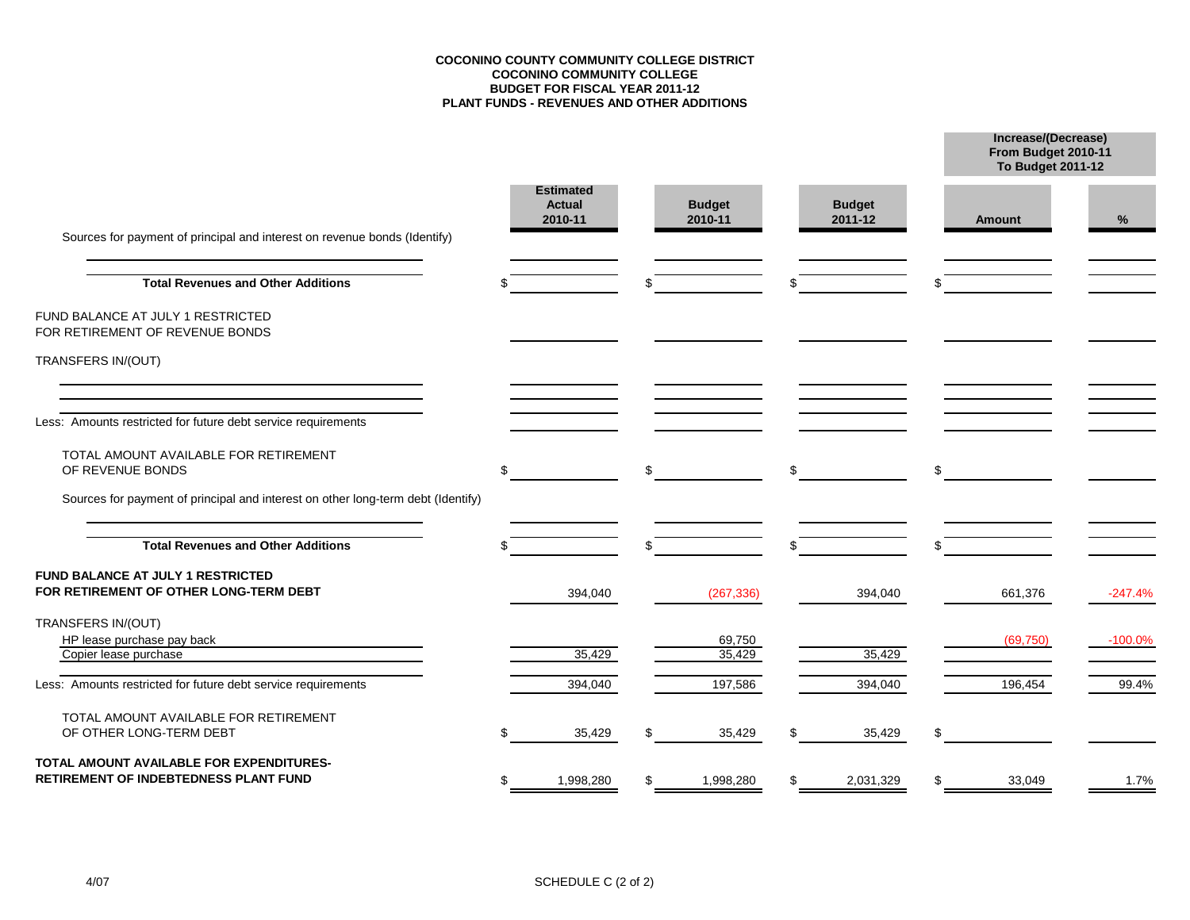#### **COCONINO COUNTY COMMUNITY COLLEGE DISTRICT COCONINO COMMUNITY COLLEGE BUDGET FOR FISCAL YEAR 2011-12 PLANT FUNDS - REVENUES AND OTHER ADDITIONS**

**From Budget 2010-11 Increase/(Decrease)**

|                                                                                   |     |                                              |    |                          |    |                          | <b>To Budget 2011-12</b> |           |  |
|-----------------------------------------------------------------------------------|-----|----------------------------------------------|----|--------------------------|----|--------------------------|--------------------------|-----------|--|
| Sources for payment of principal and interest on revenue bonds (Identify)         |     | <b>Estimated</b><br><b>Actual</b><br>2010-11 |    | <b>Budget</b><br>2010-11 |    | <b>Budget</b><br>2011-12 | <b>Amount</b>            | %         |  |
| <b>Total Revenues and Other Additions</b>                                         |     |                                              |    |                          | \$ |                          |                          |           |  |
| FUND BALANCE AT JULY 1 RESTRICTED<br>FOR RETIREMENT OF REVENUE BONDS              |     |                                              |    |                          |    |                          |                          |           |  |
| TRANSFERS IN/(OUT)                                                                |     |                                              |    |                          |    |                          |                          |           |  |
| Less: Amounts restricted for future debt service requirements                     |     |                                              |    |                          |    |                          |                          |           |  |
| TOTAL AMOUNT AVAILABLE FOR RETIREMENT<br>OF REVENUE BONDS                         | \$  |                                              | \$ |                          | \$ |                          | \$                       |           |  |
| Sources for payment of principal and interest on other long-term debt (Identify)  |     |                                              |    |                          |    |                          |                          |           |  |
| <b>Total Revenues and Other Additions</b>                                         |     |                                              |    |                          | \$ |                          |                          |           |  |
| FUND BALANCE AT JULY 1 RESTRICTED<br>FOR RETIREMENT OF OTHER LONG-TERM DEBT       |     | 394,040                                      |    | (267, 336)               |    | 394,040                  | 661,376                  | $-247.4%$ |  |
| TRANSFERS IN/(OUT)<br>HP lease purchase pay back<br>Copier lease purchase         |     | 35,429                                       |    | 69,750<br>35,429         |    | 35,429                   | (69, 750)                | $-100.0%$ |  |
| Less: Amounts restricted for future debt service requirements                     |     | 394,040                                      |    | 197,586                  |    | 394,040                  | 196,454                  | 99.4%     |  |
| TOTAL AMOUNT AVAILABLE FOR RETIREMENT<br>OF OTHER LONG-TERM DEBT                  |     | 35,429                                       |    | 35,429                   | \$ | 35,429                   | \$                       |           |  |
| TOTAL AMOUNT AVAILABLE FOR EXPENDITURES-<br>RETIREMENT OF INDEBTEDNESS PLANT FUND | \$. | 1,998,280                                    | S  | 1,998,280                | \$ | 2,031,329                | \$<br>33,049             | 1.7%      |  |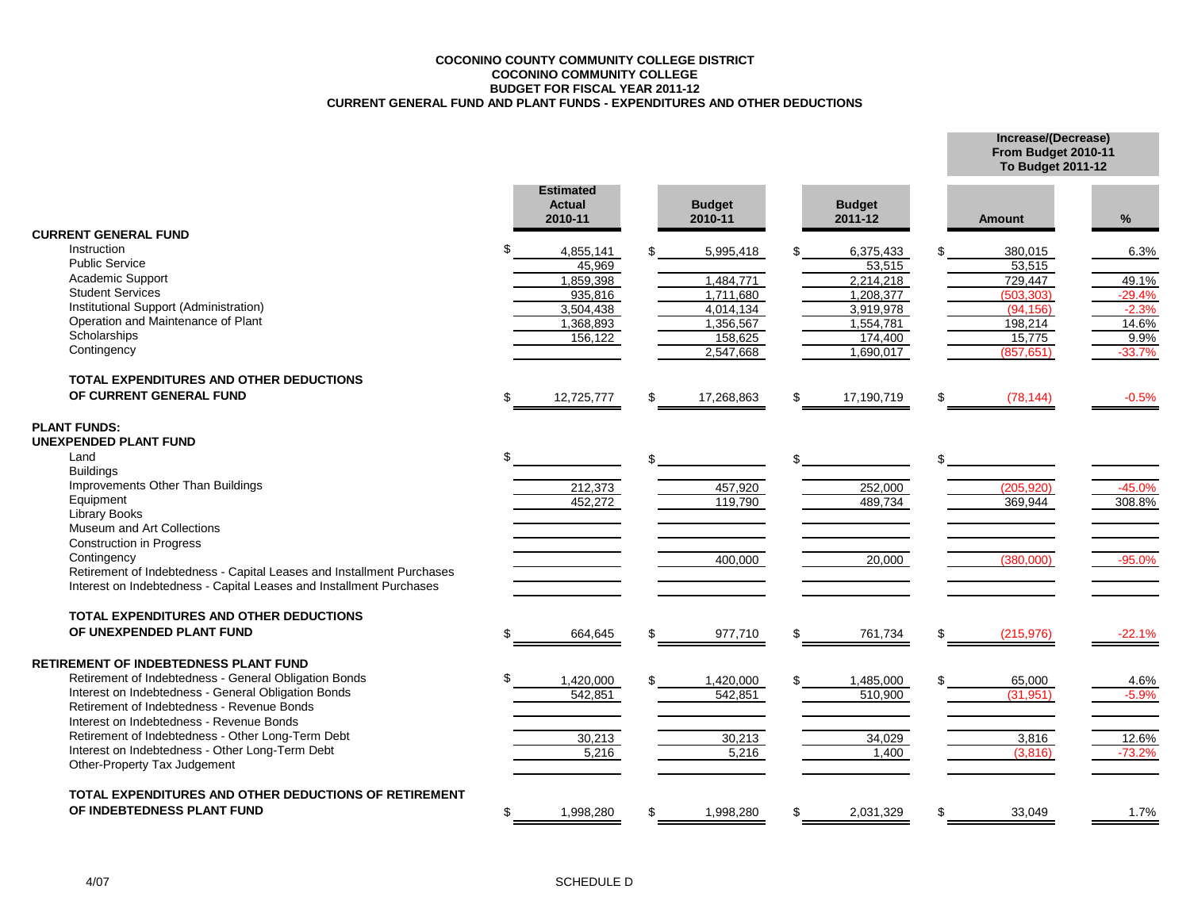#### **COCONINO COUNTY COMMUNITY COLLEGE DISTRICT COCONINO COMMUNITY COLLEGE BUDGET FOR FISCAL YEAR 2011-12 CURRENT GENERAL FUND AND PLANT FUNDS - EXPENDITURES AND OTHER DEDUCTIONS**

**Increase/(Decrease) From Budget 2010-11**

|                                                                                 |     |                                              |                          |                          | <b>To Budget 2011-12</b> |               |          |  |
|---------------------------------------------------------------------------------|-----|----------------------------------------------|--------------------------|--------------------------|--------------------------|---------------|----------|--|
|                                                                                 |     | <b>Estimated</b><br><b>Actual</b><br>2010-11 | <b>Budget</b><br>2010-11 | <b>Budget</b><br>2011-12 |                          | <b>Amount</b> | $\%$     |  |
| <b>CURRENT GENERAL FUND</b>                                                     |     |                                              |                          |                          |                          |               |          |  |
| Instruction                                                                     |     | 4,855,141                                    | 5,995,418                | 6,375,433                |                          | 380,015       | 6.3%     |  |
| <b>Public Service</b>                                                           |     | 45.969                                       |                          | 53,515                   |                          | 53,515        |          |  |
| Academic Support                                                                |     | 1,859,398                                    | 1,484,771                | 2,214,218                |                          | 729,447       | 49.1%    |  |
| <b>Student Services</b>                                                         |     | 935,816                                      | 1.711.680                | 1,208,377                |                          | (503, 303)    | $-29.4%$ |  |
| Institutional Support (Administration)                                          |     | 3,504,438                                    | 4,014,134                | 3,919,978                |                          | (94.156)      | $-2.3%$  |  |
| Operation and Maintenance of Plant                                              |     | 1,368,893                                    | 1,356,567                | 1,554,781                |                          | 198,214       | 14.6%    |  |
| Scholarships                                                                    |     | 156,122                                      | 158,625                  | 174,400                  |                          | 15,775        | 9.9%     |  |
| Contingency                                                                     |     |                                              | 2,547,668                | 1,690,017                |                          | (857, 651)    | $-33.7%$ |  |
| TOTAL EXPENDITURES AND OTHER DEDUCTIONS                                         |     |                                              |                          |                          |                          |               |          |  |
| OF CURRENT GENERAL FUND                                                         | \$  | 12,725,777                                   | 17,268,863               | \$<br>17,190,719         |                          | (78, 144)     | $-0.5%$  |  |
| <b>PLANT FUNDS:</b>                                                             |     |                                              |                          |                          |                          |               |          |  |
| <b>UNEXPENDED PLANT FUND</b>                                                    |     |                                              |                          |                          |                          |               |          |  |
| Land                                                                            | \$. |                                              |                          |                          |                          |               |          |  |
| <b>Buildings</b>                                                                |     |                                              |                          |                          |                          |               |          |  |
| Improvements Other Than Buildings                                               |     | 212,373                                      | 457,920                  | 252,000                  |                          | (205.920)     | $-45.0%$ |  |
| Equipment                                                                       |     | 452,272                                      | 119,790                  | 489,734                  |                          | 369,944       | 308.8%   |  |
| Library Books<br>Museum and Art Collections                                     |     |                                              |                          |                          |                          |               |          |  |
| <b>Construction in Progress</b>                                                 |     |                                              |                          |                          |                          |               |          |  |
| Contingency                                                                     |     |                                              | 400.000                  | 20,000                   |                          | (380.000)     | $-95.0%$ |  |
| Retirement of Indebtedness - Capital Leases and Installment Purchases           |     |                                              |                          |                          |                          |               |          |  |
| Interest on Indebtedness - Capital Leases and Installment Purchases             |     |                                              |                          |                          |                          |               |          |  |
| TOTAL EXPENDITURES AND OTHER DEDUCTIONS                                         |     |                                              |                          |                          |                          |               |          |  |
| OF UNEXPENDED PLANT FUND                                                        | \$  | 664,645                                      | \$<br>977,710            | \$<br>761,734            | \$                       | (215, 976)    | $-22.1%$ |  |
|                                                                                 |     |                                              |                          |                          |                          |               |          |  |
| RETIREMENT OF INDEBTEDNESS PLANT FUND                                           |     |                                              |                          |                          |                          |               |          |  |
| Retirement of Indebtedness - General Obligation Bonds                           |     | 1,420,000                                    | 1,420,000                | 1,485,000                |                          | 65,000        | 4.6%     |  |
| Interest on Indebtedness - General Obligation Bonds                             |     | 542,851                                      | 542,851                  | 510,900                  |                          | (31, 951)     | $-5.9%$  |  |
| Retirement of Indebtedness - Revenue Bonds                                      |     |                                              |                          |                          |                          |               |          |  |
| Interest on Indebtedness - Revenue Bonds                                        |     |                                              |                          |                          |                          |               |          |  |
| Retirement of Indebtedness - Other Long-Term Debt                               |     | 30,213                                       | 30,213                   | 34,029                   |                          | 3,816         | 12.6%    |  |
| Interest on Indebtedness - Other Long-Term Debt<br>Other-Property Tax Judgement |     | 5,216                                        | 5,216                    | 1,400                    |                          | (3,816)       | $-73.2%$ |  |
|                                                                                 |     |                                              |                          |                          |                          |               |          |  |
| TOTAL EXPENDITURES AND OTHER DEDUCTIONS OF RETIREMENT                           |     |                                              |                          |                          |                          |               |          |  |
| OF INDEBTEDNESS PLANT FUND                                                      | \$  | 1,998,280                                    | 1,998,280                | 2,031,329                | \$                       | 33,049        | 1.7%     |  |
|                                                                                 |     |                                              |                          |                          |                          |               |          |  |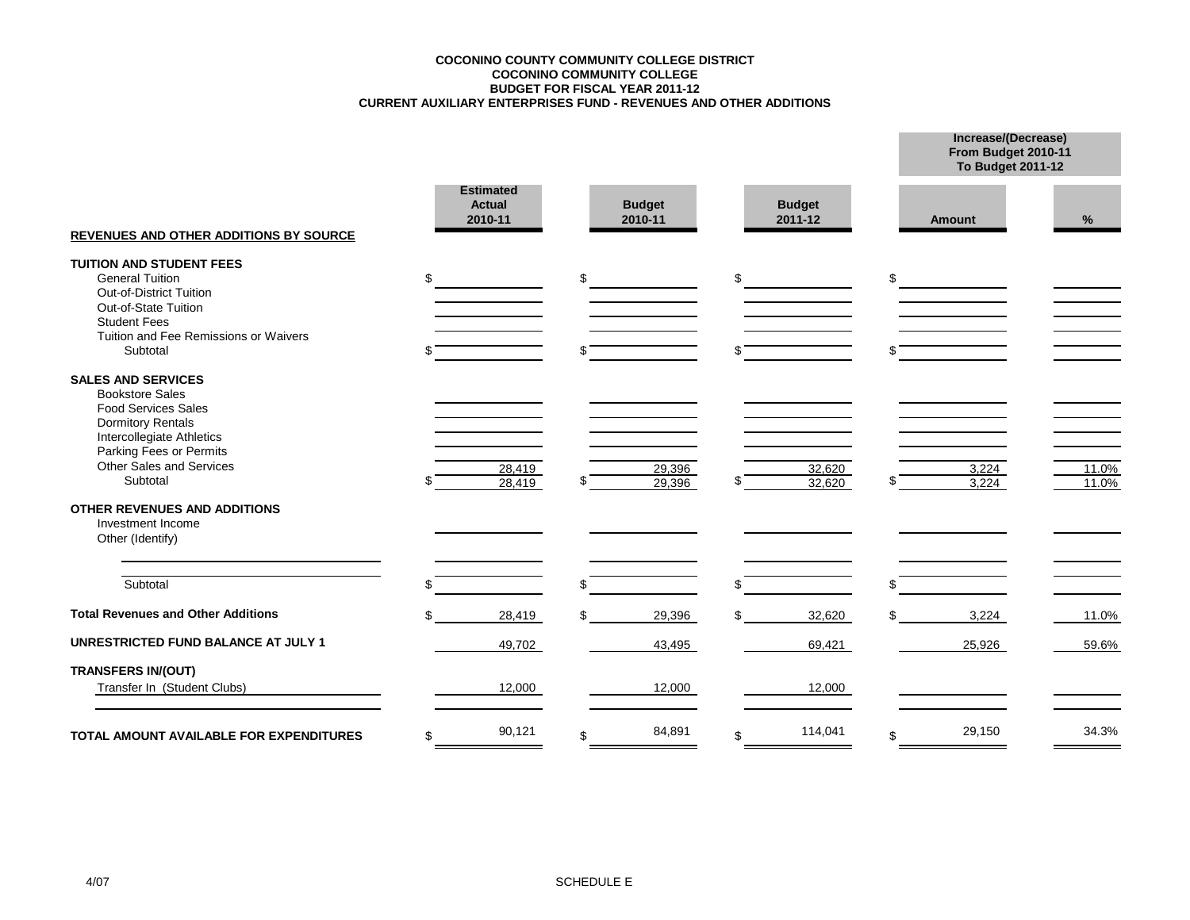#### **CURRENT AUXILIARY ENTERPRISES FUND - REVENUES AND OTHER ADDITIONS BUDGET FOR FISCAL YEAR 2011-12 COCONINO COMMUNITY COLLEGE COCONINO COUNTY COMMUNITY COLLEGE DISTRICT**

**Increase/(Decrease) From Budget 2010-11**

|                                                              |                                              |    |                          |                          |     | <b>To Budget 2011-12</b> |       |
|--------------------------------------------------------------|----------------------------------------------|----|--------------------------|--------------------------|-----|--------------------------|-------|
| <b>REVENUES AND OTHER ADDITIONS BY SOURCE</b>                | <b>Estimated</b><br><b>Actual</b><br>2010-11 |    | <b>Budget</b><br>2010-11 | <b>Budget</b><br>2011-12 |     | <b>Amount</b>            | %     |
| <b>TUITION AND STUDENT FEES</b>                              |                                              |    |                          |                          |     |                          |       |
| <b>General Tuition</b>                                       | \$                                           | \$ |                          | \$                       | \$  |                          |       |
| Out-of-District Tuition                                      |                                              |    |                          |                          |     |                          |       |
| Out-of-State Tuition                                         |                                              |    |                          |                          |     |                          |       |
| <b>Student Fees</b><br>Tuition and Fee Remissions or Waivers |                                              |    |                          |                          |     |                          |       |
| Subtotal                                                     |                                              |    |                          |                          |     |                          |       |
|                                                              |                                              |    |                          |                          |     |                          |       |
| <b>SALES AND SERVICES</b>                                    |                                              |    |                          |                          |     |                          |       |
| <b>Bookstore Sales</b>                                       |                                              |    |                          |                          |     |                          |       |
| <b>Food Services Sales</b>                                   |                                              |    |                          |                          |     |                          |       |
| <b>Dormitory Rentals</b>                                     |                                              |    |                          |                          |     |                          |       |
| Intercollegiate Athletics<br>Parking Fees or Permits         |                                              |    |                          |                          |     |                          |       |
| Other Sales and Services                                     | 28,419                                       |    | 29,396                   | 32,620                   |     | 3,224                    | 11.0% |
| Subtotal                                                     | 28,419                                       |    | 29,396                   | 32,620                   |     | 3.224                    | 11.0% |
| <b>OTHER REVENUES AND ADDITIONS</b>                          |                                              |    |                          |                          |     |                          |       |
| Investment Income                                            |                                              |    |                          |                          |     |                          |       |
| Other (Identify)                                             |                                              |    |                          |                          |     |                          |       |
|                                                              |                                              |    |                          |                          |     |                          |       |
| Subtotal                                                     |                                              | ß. |                          | \$                       | \$  |                          |       |
| <b>Total Revenues and Other Additions</b>                    | 28,419                                       |    | 29,396                   | 32,620                   | \$. | 3,224                    | 11.0% |
| <b>UNRESTRICTED FUND BALANCE AT JULY 1</b>                   |                                              |    |                          |                          |     |                          |       |
|                                                              | 49,702                                       |    | 43,495                   | 69,421                   |     | 25,926                   | 59.6% |
| <b>TRANSFERS IN/(OUT)</b>                                    |                                              |    |                          |                          |     |                          |       |
| Transfer In (Student Clubs)                                  | 12,000                                       |    | 12,000                   | 12,000                   |     |                          |       |
|                                                              |                                              |    |                          |                          |     |                          |       |
| <b>TOTAL AMOUNT AVAILABLE FOR EXPENDITURES</b>               | \$<br>90,121                                 | \$ | 84,891                   | \$<br>114,041            | \$  | 29,150                   | 34.3% |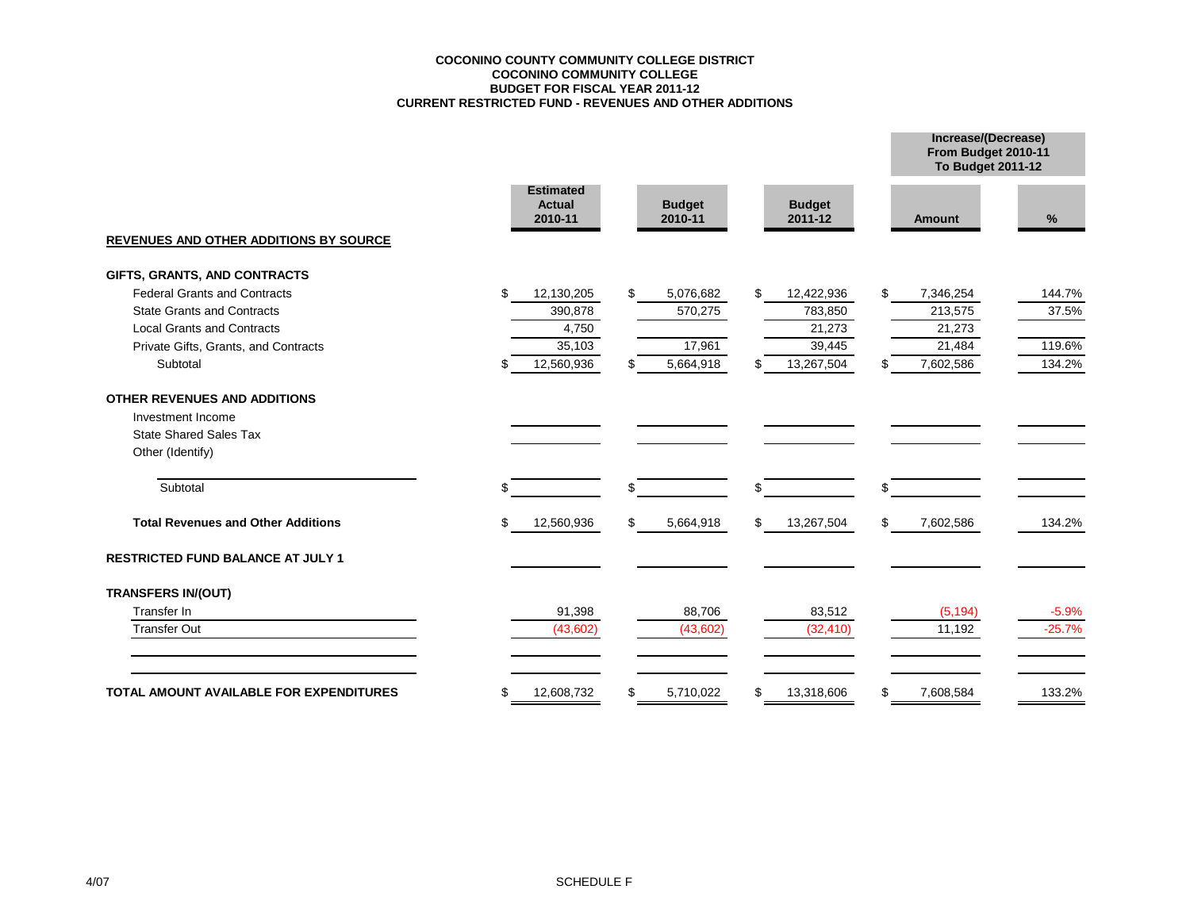#### **COCONINO COUNTY COMMUNITY COLLEGE DISTRICT COCONINO COMMUNITY COLLEGE BUDGET FOR FISCAL YEAR 2011-12 CURRENT RESTRICTED FUND - REVENUES AND OTHER ADDITIONS**

|                                                |    |                                              |                          |                          |     | From Budget 2010-11<br><b>To Budget 2011-12</b> |          |
|------------------------------------------------|----|----------------------------------------------|--------------------------|--------------------------|-----|-------------------------------------------------|----------|
|                                                |    | <b>Estimated</b><br><b>Actual</b><br>2010-11 | <b>Budget</b><br>2010-11 | <b>Budget</b><br>2011-12 |     | <b>Amount</b>                                   | $\%$     |
| <b>REVENUES AND OTHER ADDITIONS BY SOURCE</b>  |    |                                              |                          |                          |     |                                                 |          |
| GIFTS, GRANTS, AND CONTRACTS                   |    |                                              |                          |                          |     |                                                 |          |
| <b>Federal Grants and Contracts</b>            | \$ | 12,130,205                                   | \$<br>5,076,682          | \$<br>12,422,936         | \$  | 7,346,254                                       | 144.7%   |
| <b>State Grants and Contracts</b>              |    | 390,878                                      | 570,275                  | 783,850                  |     | 213,575                                         | 37.5%    |
| <b>Local Grants and Contracts</b>              |    | 4,750                                        |                          | 21,273                   |     | 21,273                                          |          |
| Private Gifts, Grants, and Contracts           |    | 35,103                                       | 17,961                   | 39,445                   |     | 21,484                                          | 119.6%   |
| Subtotal                                       | \$ | 12,560,936                                   | \$<br>5,664,918          | 13,267,504               | \$. | 7,602,586                                       | 134.2%   |
| OTHER REVENUES AND ADDITIONS                   |    |                                              |                          |                          |     |                                                 |          |
| Investment Income                              |    |                                              |                          |                          |     |                                                 |          |
| <b>State Shared Sales Tax</b>                  |    |                                              |                          |                          |     |                                                 |          |
| Other (Identify)                               |    |                                              |                          |                          |     |                                                 |          |
| Subtotal                                       | S  |                                              | \$                       | \$                       | \$  |                                                 |          |
| <b>Total Revenues and Other Additions</b>      | \$ | 12,560,936                                   | \$<br>5,664,918          | \$<br>13,267,504         | \$  | 7,602,586                                       | 134.2%   |
| <b>RESTRICTED FUND BALANCE AT JULY 1</b>       |    |                                              |                          |                          |     |                                                 |          |
| <b>TRANSFERS IN/(OUT)</b>                      |    |                                              |                          |                          |     |                                                 |          |
| Transfer In                                    |    | 91,398                                       | 88,706                   | 83,512                   |     | (5, 194)                                        | $-5.9%$  |
| <b>Transfer Out</b>                            |    | (43, 602)                                    | (43,602)                 | (32, 410)                |     | 11,192                                          | $-25.7%$ |
| <b>TOTAL AMOUNT AVAILABLE FOR EXPENDITURES</b> | \$ | 12,608,732                                   | \$<br>5,710,022          | 13,318,606               | \$  | 7,608,584                                       | 133.2%   |
|                                                |    |                                              |                          |                          |     |                                                 |          |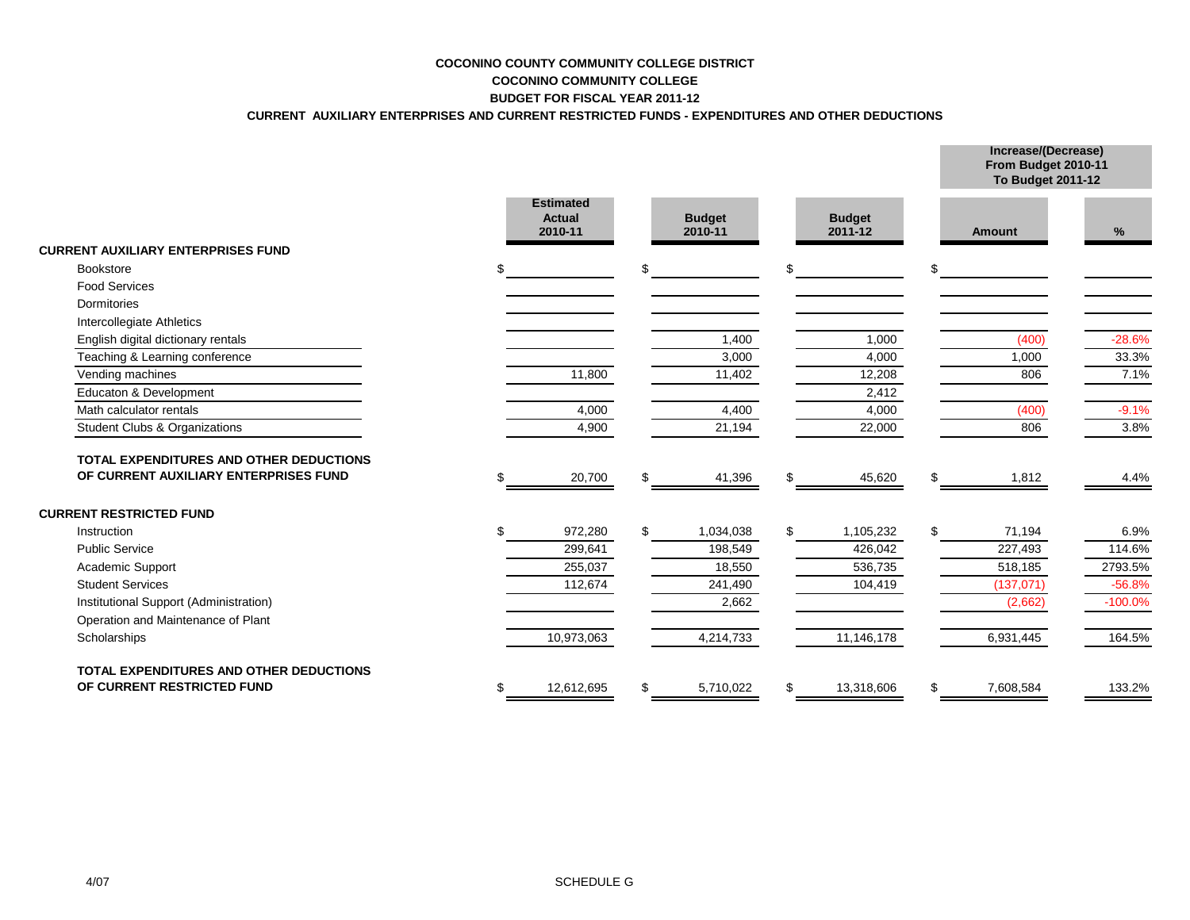## **COCONINO COUNTY COMMUNITY COLLEGE DISTRICT COCONINO COMMUNITY COLLEGE BUDGET FOR FISCAL YEAR 2011-12**

## **CURRENT AUXILIARY ENTERPRISES AND CURRENT RESTRICTED FUNDS - EXPENDITURES AND OTHER DEDUCTIONS**

|                                                |                                              |    |                          | From Budget 2010-11<br><b>To Budget 2011-12</b> |                 |           |
|------------------------------------------------|----------------------------------------------|----|--------------------------|-------------------------------------------------|-----------------|-----------|
|                                                | <b>Estimated</b><br><b>Actual</b><br>2010-11 |    | <b>Budget</b><br>2010-11 | <b>Budget</b><br>2011-12                        | <b>Amount</b>   | %         |
| <b>CURRENT AUXILIARY ENTERPRISES FUND</b>      |                                              |    |                          |                                                 |                 |           |
| Bookstore                                      |                                              | \$ |                          | \$                                              | \$              |           |
| <b>Food Services</b>                           |                                              |    |                          |                                                 |                 |           |
| Dormitories                                    |                                              |    |                          |                                                 |                 |           |
| Intercollegiate Athletics                      |                                              |    |                          |                                                 |                 |           |
| English digital dictionary rentals             |                                              |    | 1,400                    | 1,000                                           | (400)           | $-28.6%$  |
| Teaching & Learning conference                 |                                              |    | 3,000                    | 4,000                                           | 1,000           | 33.3%     |
| Vending machines                               | 11,800                                       |    | 11,402                   | 12,208                                          | 806             | 7.1%      |
| Educaton & Development                         |                                              |    |                          | 2,412                                           |                 |           |
| Math calculator rentals                        | 4,000                                        |    | 4,400                    | 4,000                                           | (400)           | $-9.1%$   |
| Student Clubs & Organizations                  | 4,900                                        |    | 21,194                   | 22,000                                          | 806             | 3.8%      |
| TOTAL EXPENDITURES AND OTHER DEDUCTIONS        |                                              |    |                          |                                                 |                 |           |
| OF CURRENT AUXILIARY ENTERPRISES FUND          | 20,700                                       |    | 41,396                   | \$<br>45,620                                    | \$<br>1,812     | 4.4%      |
| <b>CURRENT RESTRICTED FUND</b>                 |                                              |    |                          |                                                 |                 |           |
| Instruction                                    | 972,280                                      |    | 1,034,038                | \$<br>1,105,232                                 | \$<br>71,194    | 6.9%      |
| <b>Public Service</b>                          | 299.641                                      |    | 198,549                  | 426.042                                         | 227,493         | 114.6%    |
| Academic Support                               | 255,037                                      |    | 18,550                   | 536,735                                         | 518,185         | 2793.5%   |
| <b>Student Services</b>                        | 112,674                                      |    | 241,490                  | 104,419                                         | (137, 071)      | $-56.8%$  |
| Institutional Support (Administration)         |                                              |    | 2,662                    |                                                 | (2,662)         | $-100.0%$ |
| Operation and Maintenance of Plant             |                                              |    |                          |                                                 |                 |           |
| Scholarships                                   | 10,973,063                                   |    | 4,214,733                | 11,146,178                                      | 6,931,445       | 164.5%    |
| <b>TOTAL EXPENDITURES AND OTHER DEDUCTIONS</b> |                                              |    |                          |                                                 |                 |           |
| OF CURRENT RESTRICTED FUND                     | 12,612,695                                   |    | 5,710,022                | \$<br>13,318,606                                | \$<br>7,608,584 | 133.2%    |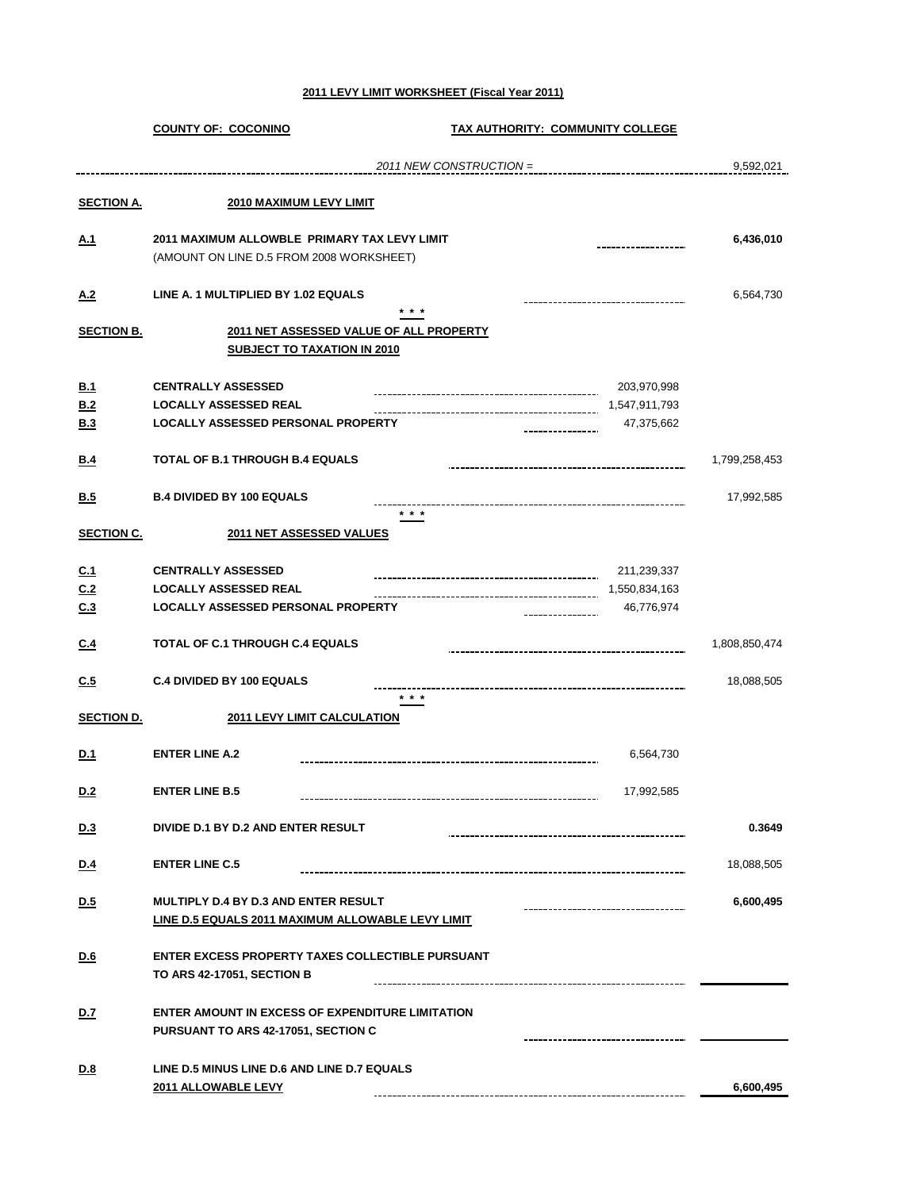#### **2011 LEVY LIMIT WORKSHEET (Fiscal Year 2011)**

|                   | <b>COUNTY OF: COCONINO</b>                                                    | TAX AUTHORITY: COMMUNITY COLLEGE |               |
|-------------------|-------------------------------------------------------------------------------|----------------------------------|---------------|
|                   |                                                                               | 2011 NEW CONSTRUCTION =          | 9,592,021     |
| <b>SECTION A.</b> | 2010 MAXIMUM LEVY LIMIT                                                       |                                  |               |
|                   |                                                                               |                                  |               |
| <u>A.1</u>        | 2011 MAXIMUM ALLOWBLE PRIMARY TAX LEVY LIMIT                                  |                                  | 6,436,010     |
|                   | (AMOUNT ON LINE D.5 FROM 2008 WORKSHEET)                                      |                                  |               |
| <u>A.2</u>        | LINE A. 1 MULTIPLIED BY 1.02 EQUALS                                           |                                  | 6,564,730     |
|                   | * * *                                                                         |                                  |               |
| <b>SECTION B.</b> | 2011 NET ASSESSED VALUE OF ALL PROPERTY<br><b>SUBJECT TO TAXATION IN 2010</b> |                                  |               |
|                   |                                                                               |                                  |               |
| B.1               | <b>CENTRALLY ASSESSED</b>                                                     | 203,970,998                      |               |
| B.2<br>B.3        | <b>LOCALLY ASSESSED REAL</b><br>LOCALLY ASSESSED PERSONAL PROPERTY            | 1,547,911,793<br>47,375,662      |               |
|                   |                                                                               |                                  |               |
| B.4               | <b>TOTAL OF B.1 THROUGH B.4 EQUALS</b>                                        |                                  | 1,799,258,453 |
| B.5               | <b>B.4 DIVIDED BY 100 EQUALS</b>                                              |                                  | 17,992,585    |
|                   | $* * *$                                                                       |                                  |               |
| <b>SECTION C.</b> | 2011 NET ASSESSED VALUES                                                      |                                  |               |
| C <sub>1</sub>    | <b>CENTRALLY ASSESSED</b>                                                     | 211,239,337                      |               |
| C <sub>2</sub>    | <b>LOCALLY ASSESSED REAL</b>                                                  | 1,550,834,163                    |               |
| C.3               | LOCALLY ASSESSED PERSONAL PROPERTY                                            | 46,776,974                       |               |
| C.4               | TOTAL OF C.1 THROUGH C.4 EQUALS                                               |                                  | 1,808,850,474 |
| C.5               | <b>C.4 DIVIDED BY 100 EQUALS</b>                                              |                                  | 18,088,505    |
|                   | * * *                                                                         |                                  |               |
| <b>SECTION D.</b> | <b>2011 LEVY LIMIT CALCULATION</b>                                            |                                  |               |
| D.1               | <b>ENTER LINE A.2</b>                                                         | 6,564,730                        |               |
|                   |                                                                               |                                  |               |
| <u>D.2</u>        | <b>ENTER LINE B.5</b>                                                         | 17,992,585                       |               |
| <u>D.3</u>        | DIVIDE D.1 BY D.2 AND ENTER RESULT                                            |                                  | 0.3649        |
| <u>D.4</u>        | <b>ENTER LINE C.5</b>                                                         |                                  | 18,088,505    |
|                   |                                                                               |                                  |               |
| D.5               | <b>MULTIPLY D.4 BY D.3 AND ENTER RESULT</b>                                   |                                  | 6,600,495     |
|                   | <b>LINE D.5 EQUALS 2011 MAXIMUM ALLOWABLE LEVY LIMIT</b>                      |                                  |               |
| D.6               | <b>ENTER EXCESS PROPERTY TAXES COLLECTIBLE PURSUANT</b>                       |                                  |               |
|                   | TO ARS 42-17051, SECTION B                                                    |                                  |               |
| <u>D.7</u>        | <b>ENTER AMOUNT IN EXCESS OF EXPENDITURE LIMITATION</b>                       |                                  |               |
|                   | PURSUANT TO ARS 42-17051, SECTION C                                           |                                  |               |
|                   |                                                                               |                                  |               |
| <u>D.8</u>        | LINE D.5 MINUS LINE D.6 AND LINE D.7 EQUALS<br>2011 ALLOWABLE LEVY            |                                  | 6,600,495     |
|                   |                                                                               |                                  |               |